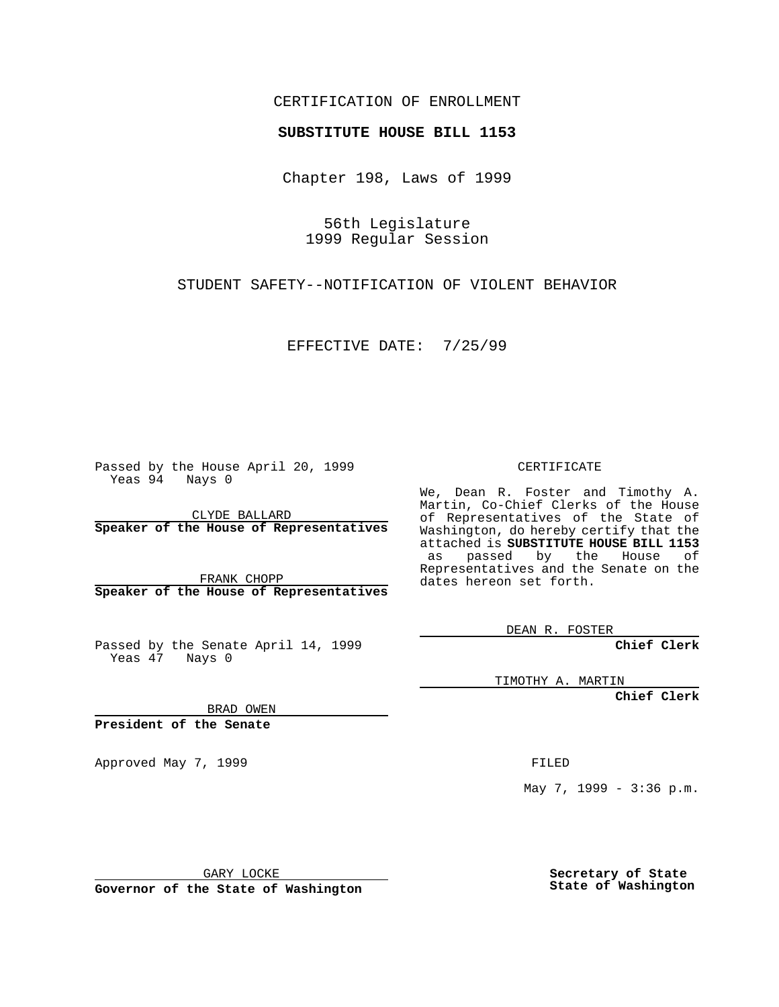### CERTIFICATION OF ENROLLMENT

# **SUBSTITUTE HOUSE BILL 1153**

Chapter 198, Laws of 1999

56th Legislature 1999 Regular Session

STUDENT SAFETY--NOTIFICATION OF VIOLENT BEHAVIOR

EFFECTIVE DATE: 7/25/99

Passed by the House April 20, 1999 Yeas 94 Nays 0

CLYDE BALLARD **Speaker of the House of Representatives**

FRANK CHOPP **Speaker of the House of Representatives**

Passed by the Senate April 14, 1999 Yeas 47 Nays 0

CERTIFICATE

We, Dean R. Foster and Timothy A. Martin, Co-Chief Clerks of the House of Representatives of the State of Washington, do hereby certify that the attached is **SUBSTITUTE HOUSE BILL 1153** as passed by the House of Representatives and the Senate on the dates hereon set forth.

DEAN R. FOSTER

**Chief Clerk**

TIMOTHY A. MARTIN

**Chief Clerk**

BRAD OWEN

**President of the Senate**

Approved May 7, 1999 **FILED** 

May 7, 1999 - 3:36 p.m.

GARY LOCKE

**Governor of the State of Washington**

**Secretary of State State of Washington**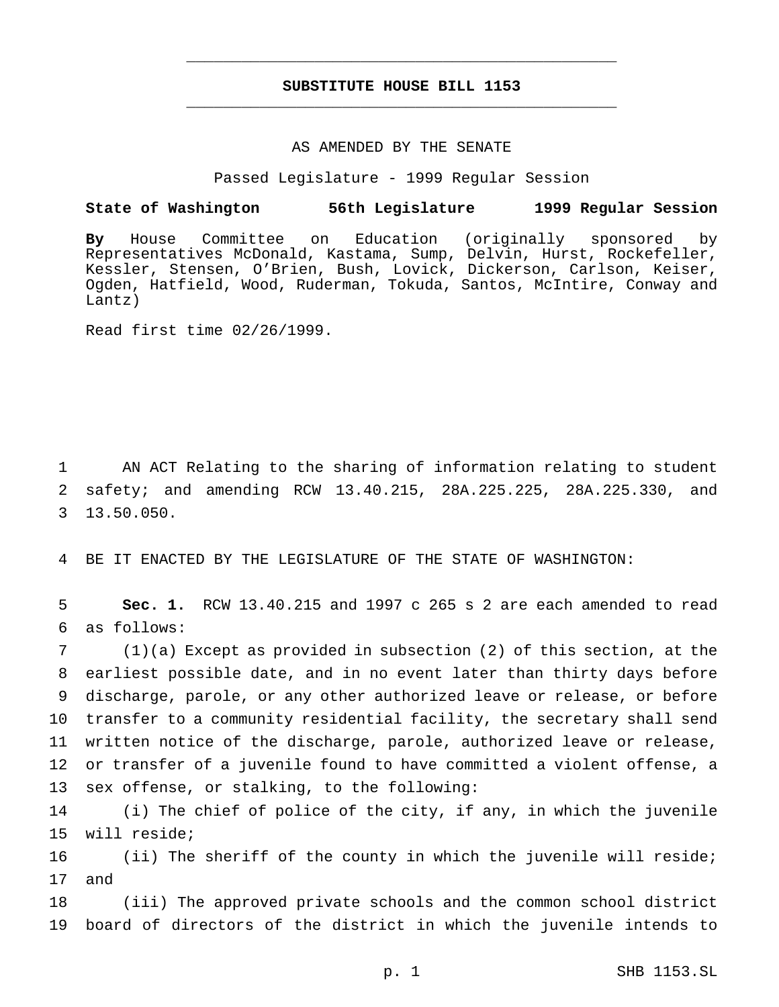## **SUBSTITUTE HOUSE BILL 1153** \_\_\_\_\_\_\_\_\_\_\_\_\_\_\_\_\_\_\_\_\_\_\_\_\_\_\_\_\_\_\_\_\_\_\_\_\_\_\_\_\_\_\_\_\_\_\_

\_\_\_\_\_\_\_\_\_\_\_\_\_\_\_\_\_\_\_\_\_\_\_\_\_\_\_\_\_\_\_\_\_\_\_\_\_\_\_\_\_\_\_\_\_\_\_

#### AS AMENDED BY THE SENATE

Passed Legislature - 1999 Regular Session

## **State of Washington 56th Legislature 1999 Regular Session**

**By** House Committee on Education (originally sponsored by Representatives McDonald, Kastama, Sump, Delvin, Hurst, Rockefeller, Kessler, Stensen, O'Brien, Bush, Lovick, Dickerson, Carlson, Keiser, Ogden, Hatfield, Wood, Ruderman, Tokuda, Santos, McIntire, Conway and Lantz)

Read first time 02/26/1999.

1 AN ACT Relating to the sharing of information relating to student 2 safety; and amending RCW 13.40.215, 28A.225.225, 28A.225.330, and 3 13.50.050.

4 BE IT ENACTED BY THE LEGISLATURE OF THE STATE OF WASHINGTON:

5 **Sec. 1.** RCW 13.40.215 and 1997 c 265 s 2 are each amended to read 6 as follows:

 (1)(a) Except as provided in subsection (2) of this section, at the earliest possible date, and in no event later than thirty days before discharge, parole, or any other authorized leave or release, or before transfer to a community residential facility, the secretary shall send written notice of the discharge, parole, authorized leave or release, or transfer of a juvenile found to have committed a violent offense, a sex offense, or stalking, to the following:

14 (i) The chief of police of the city, if any, in which the juvenile 15 will reside;

16 (ii) The sheriff of the county in which the juvenile will reside; 17 and

18 (iii) The approved private schools and the common school district 19 board of directors of the district in which the juvenile intends to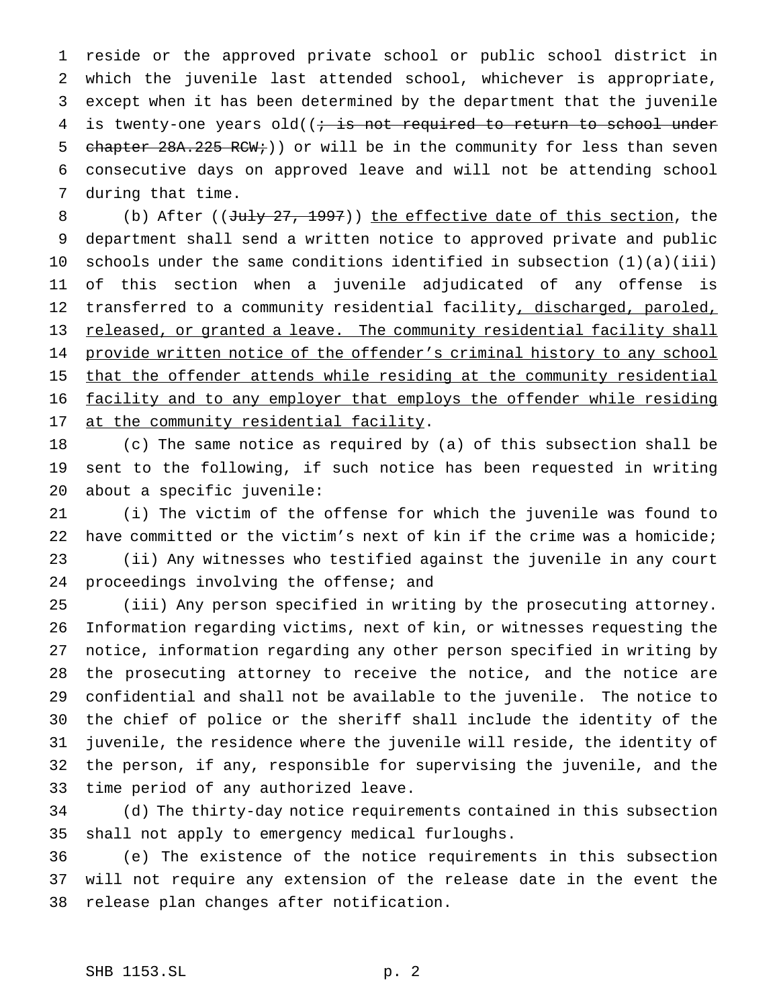reside or the approved private school or public school district in which the juvenile last attended school, whichever is appropriate, except when it has been determined by the department that the juvenile 4 is twenty-one years old( $(i + is not required to return to school under)$ 5 chapter 28A.225 RCW;)) or will be in the community for less than seven consecutive days on approved leave and will not be attending school during that time.

8 (b) After ((July 27, 1997)) the effective date of this section, the department shall send a written notice to approved private and public schools under the same conditions identified in subsection (1)(a)(iii) of this section when a juvenile adjudicated of any offense is 12 transferred to a community residential facility, discharged, paroled, 13 released, or granted a leave. The community residential facility shall 14 provide written notice of the offender's criminal history to any school 15 that the offender attends while residing at the community residential facility and to any employer that employs the offender while residing 17 at the community residential facility.

 (c) The same notice as required by (a) of this subsection shall be sent to the following, if such notice has been requested in writing about a specific juvenile:

 (i) The victim of the offense for which the juvenile was found to have committed or the victim's next of kin if the crime was a homicide; (ii) Any witnesses who testified against the juvenile in any court 24 proceedings involving the offense; and

 (iii) Any person specified in writing by the prosecuting attorney. Information regarding victims, next of kin, or witnesses requesting the notice, information regarding any other person specified in writing by the prosecuting attorney to receive the notice, and the notice are confidential and shall not be available to the juvenile. The notice to the chief of police or the sheriff shall include the identity of the juvenile, the residence where the juvenile will reside, the identity of the person, if any, responsible for supervising the juvenile, and the time period of any authorized leave.

 (d) The thirty-day notice requirements contained in this subsection shall not apply to emergency medical furloughs.

 (e) The existence of the notice requirements in this subsection will not require any extension of the release date in the event the release plan changes after notification.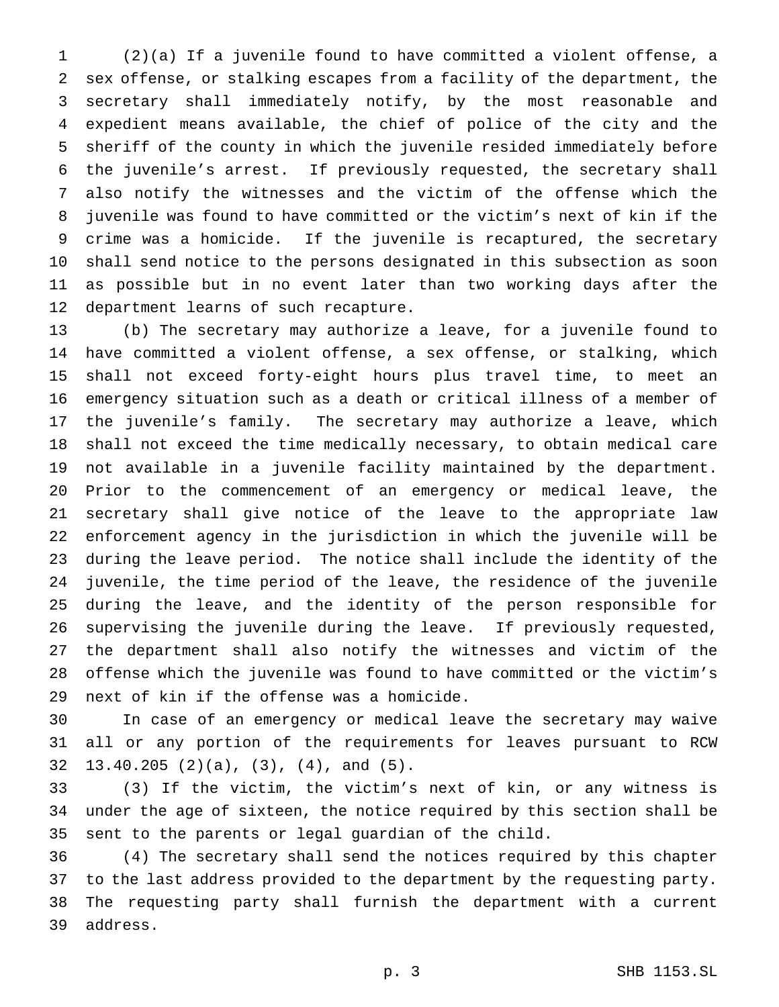(2)(a) If a juvenile found to have committed a violent offense, a sex offense, or stalking escapes from a facility of the department, the secretary shall immediately notify, by the most reasonable and expedient means available, the chief of police of the city and the sheriff of the county in which the juvenile resided immediately before the juvenile's arrest. If previously requested, the secretary shall also notify the witnesses and the victim of the offense which the juvenile was found to have committed or the victim's next of kin if the crime was a homicide. If the juvenile is recaptured, the secretary shall send notice to the persons designated in this subsection as soon as possible but in no event later than two working days after the department learns of such recapture.

 (b) The secretary may authorize a leave, for a juvenile found to have committed a violent offense, a sex offense, or stalking, which shall not exceed forty-eight hours plus travel time, to meet an emergency situation such as a death or critical illness of a member of the juvenile's family. The secretary may authorize a leave, which shall not exceed the time medically necessary, to obtain medical care not available in a juvenile facility maintained by the department. Prior to the commencement of an emergency or medical leave, the secretary shall give notice of the leave to the appropriate law enforcement agency in the jurisdiction in which the juvenile will be during the leave period. The notice shall include the identity of the juvenile, the time period of the leave, the residence of the juvenile during the leave, and the identity of the person responsible for supervising the juvenile during the leave. If previously requested, the department shall also notify the witnesses and victim of the offense which the juvenile was found to have committed or the victim's next of kin if the offense was a homicide.

 In case of an emergency or medical leave the secretary may waive all or any portion of the requirements for leaves pursuant to RCW 13.40.205 (2)(a), (3), (4), and (5).

 (3) If the victim, the victim's next of kin, or any witness is under the age of sixteen, the notice required by this section shall be sent to the parents or legal guardian of the child.

 (4) The secretary shall send the notices required by this chapter to the last address provided to the department by the requesting party. The requesting party shall furnish the department with a current address.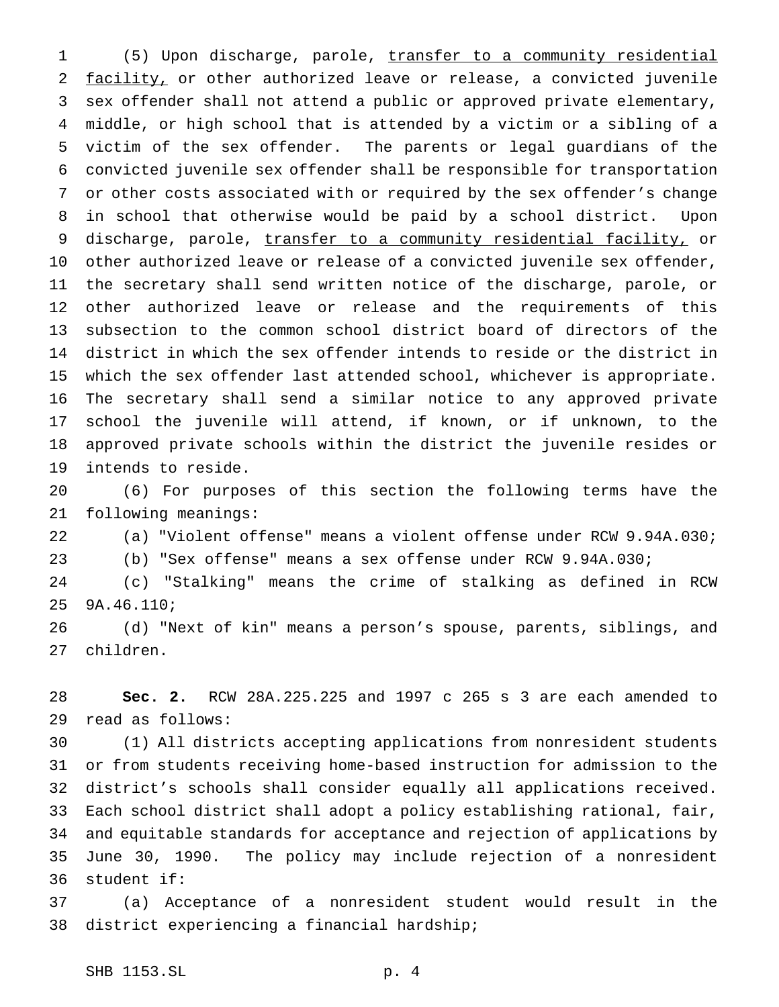(5) Upon discharge, parole, transfer to a community residential 2 facility, or other authorized leave or release, a convicted juvenile sex offender shall not attend a public or approved private elementary, middle, or high school that is attended by a victim or a sibling of a victim of the sex offender. The parents or legal guardians of the convicted juvenile sex offender shall be responsible for transportation or other costs associated with or required by the sex offender's change in school that otherwise would be paid by a school district. Upon 9 discharge, parole, transfer to a community residential facility, or other authorized leave or release of a convicted juvenile sex offender, the secretary shall send written notice of the discharge, parole, or other authorized leave or release and the requirements of this subsection to the common school district board of directors of the district in which the sex offender intends to reside or the district in which the sex offender last attended school, whichever is appropriate. The secretary shall send a similar notice to any approved private school the juvenile will attend, if known, or if unknown, to the approved private schools within the district the juvenile resides or intends to reside.

 (6) For purposes of this section the following terms have the following meanings:

(a) "Violent offense" means a violent offense under RCW 9.94A.030;

(b) "Sex offense" means a sex offense under RCW 9.94A.030;

 (c) "Stalking" means the crime of stalking as defined in RCW 9A.46.110;

 (d) "Next of kin" means a person's spouse, parents, siblings, and children.

 **Sec. 2.** RCW 28A.225.225 and 1997 c 265 s 3 are each amended to read as follows:

 (1) All districts accepting applications from nonresident students or from students receiving home-based instruction for admission to the district's schools shall consider equally all applications received. Each school district shall adopt a policy establishing rational, fair, and equitable standards for acceptance and rejection of applications by June 30, 1990. The policy may include rejection of a nonresident student if:

 (a) Acceptance of a nonresident student would result in the district experiencing a financial hardship;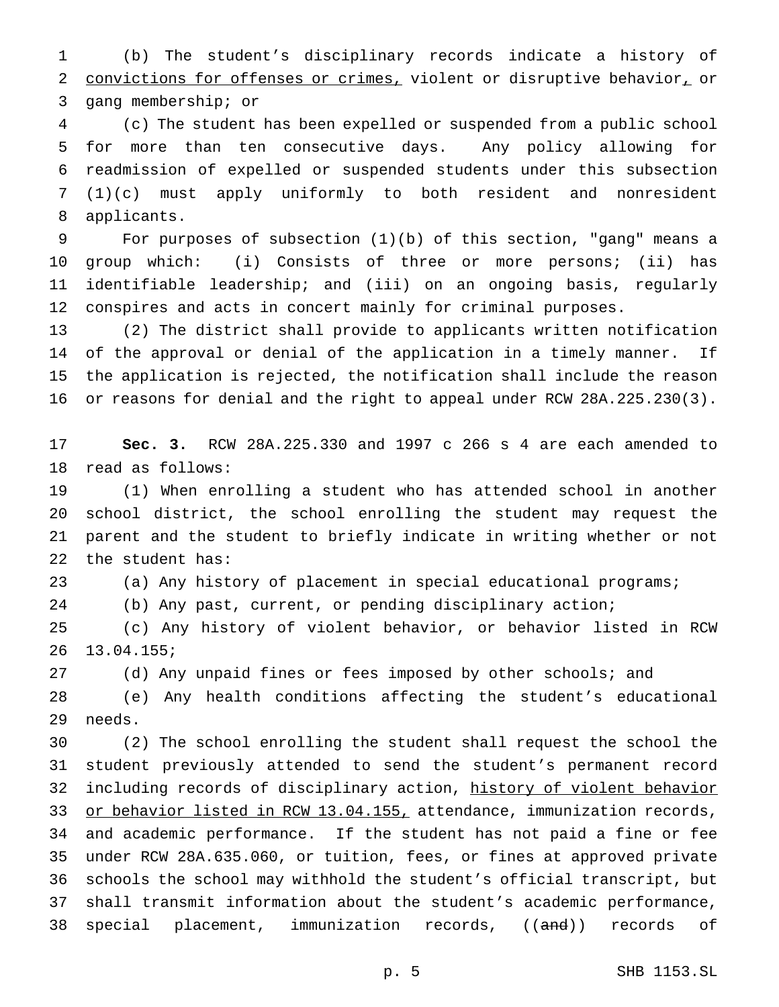(b) The student's disciplinary records indicate a history of 2 convictions for offenses or crimes, violent or disruptive behavior, or gang membership; or

 (c) The student has been expelled or suspended from a public school for more than ten consecutive days. Any policy allowing for readmission of expelled or suspended students under this subsection (1)(c) must apply uniformly to both resident and nonresident applicants.

 For purposes of subsection (1)(b) of this section, "gang" means a group which: (i) Consists of three or more persons; (ii) has identifiable leadership; and (iii) on an ongoing basis, regularly conspires and acts in concert mainly for criminal purposes.

 (2) The district shall provide to applicants written notification of the approval or denial of the application in a timely manner. If the application is rejected, the notification shall include the reason or reasons for denial and the right to appeal under RCW 28A.225.230(3).

 **Sec. 3.** RCW 28A.225.330 and 1997 c 266 s 4 are each amended to read as follows:

 (1) When enrolling a student who has attended school in another school district, the school enrolling the student may request the parent and the student to briefly indicate in writing whether or not the student has:

(a) Any history of placement in special educational programs;

(b) Any past, current, or pending disciplinary action;

 (c) Any history of violent behavior, or behavior listed in RCW 13.04.155;

(d) Any unpaid fines or fees imposed by other schools; and

 (e) Any health conditions affecting the student's educational needs.

 (2) The school enrolling the student shall request the school the student previously attended to send the student's permanent record 32 including records of disciplinary action, history of violent behavior 33 or behavior listed in RCW 13.04.155, attendance, immunization records, and academic performance. If the student has not paid a fine or fee under RCW 28A.635.060, or tuition, fees, or fines at approved private schools the school may withhold the student's official transcript, but shall transmit information about the student's academic performance, 38 special placement, immunization records, ((and)) records of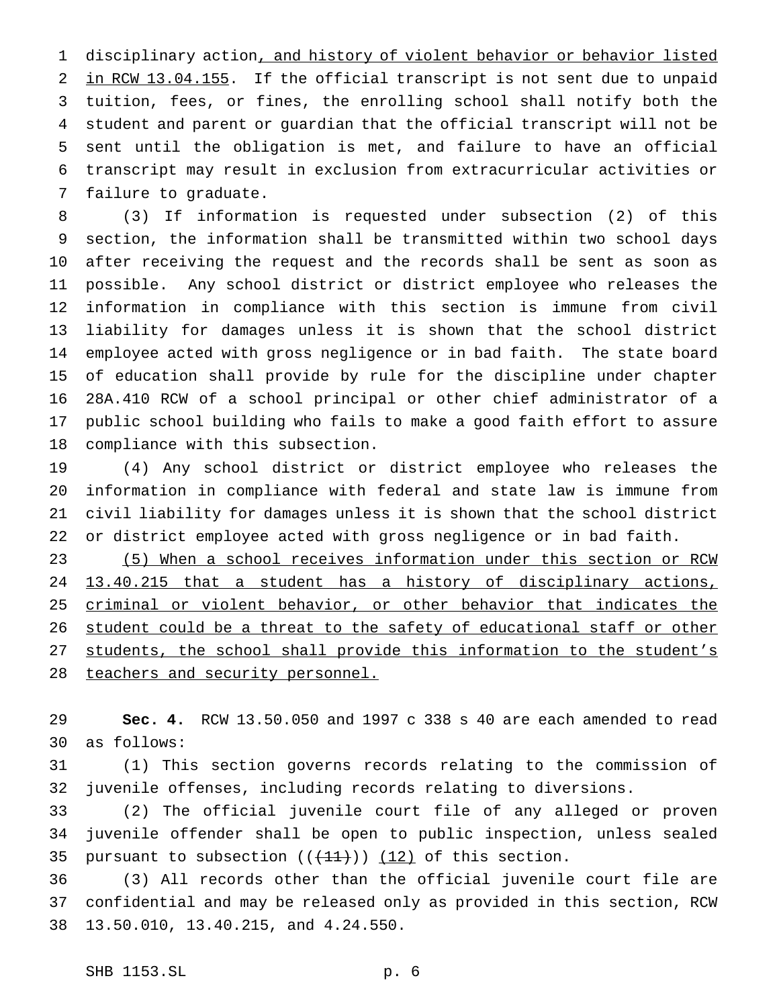disciplinary action, and history of violent behavior or behavior listed 2 in RCW 13.04.155. If the official transcript is not sent due to unpaid tuition, fees, or fines, the enrolling school shall notify both the student and parent or guardian that the official transcript will not be sent until the obligation is met, and failure to have an official transcript may result in exclusion from extracurricular activities or failure to graduate.

 (3) If information is requested under subsection (2) of this section, the information shall be transmitted within two school days after receiving the request and the records shall be sent as soon as possible. Any school district or district employee who releases the information in compliance with this section is immune from civil liability for damages unless it is shown that the school district employee acted with gross negligence or in bad faith. The state board of education shall provide by rule for the discipline under chapter 28A.410 RCW of a school principal or other chief administrator of a public school building who fails to make a good faith effort to assure compliance with this subsection.

 (4) Any school district or district employee who releases the information in compliance with federal and state law is immune from civil liability for damages unless it is shown that the school district or district employee acted with gross negligence or in bad faith.

 (5) When a school receives information under this section or RCW 13.40.215 that a student has a history of disciplinary actions, criminal or violent behavior, or other behavior that indicates the 26 student could be a threat to the safety of educational staff or other 27 students, the school shall provide this information to the student's 28 teachers and security personnel.

 **Sec. 4.** RCW 13.50.050 and 1997 c 338 s 40 are each amended to read as follows:

 (1) This section governs records relating to the commission of juvenile offenses, including records relating to diversions.

 (2) The official juvenile court file of any alleged or proven juvenile offender shall be open to public inspection, unless sealed 35 pursuant to subsection  $((+11))$   $(12)$  of this section.

 (3) All records other than the official juvenile court file are confidential and may be released only as provided in this section, RCW 13.50.010, 13.40.215, and 4.24.550.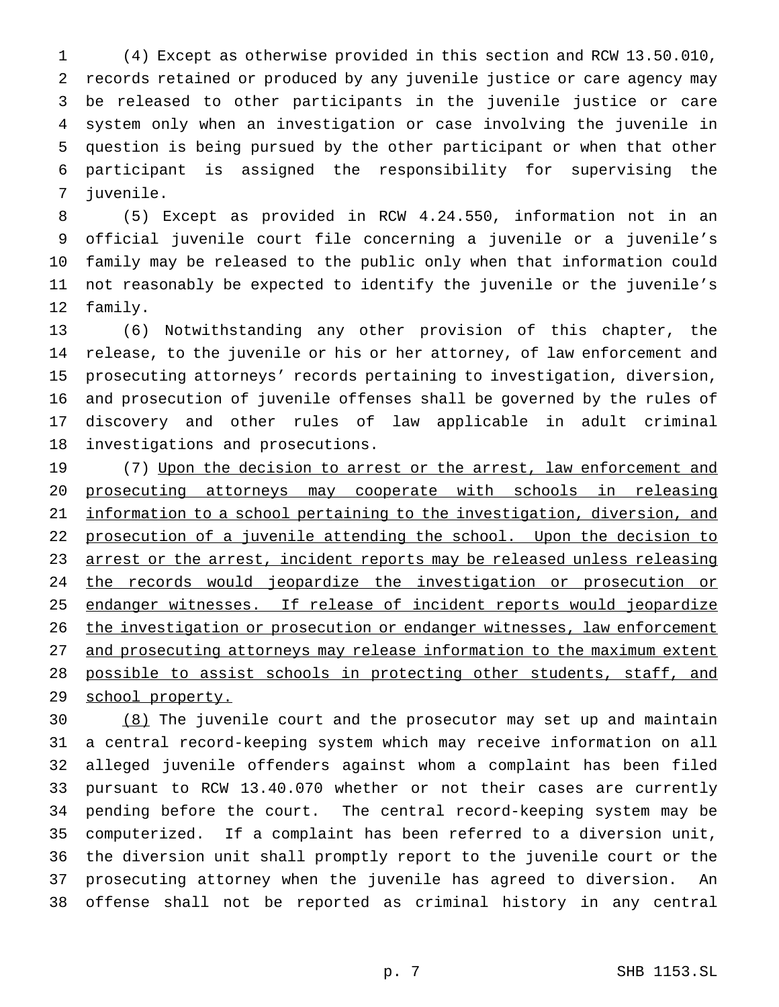(4) Except as otherwise provided in this section and RCW 13.50.010, records retained or produced by any juvenile justice or care agency may be released to other participants in the juvenile justice or care system only when an investigation or case involving the juvenile in question is being pursued by the other participant or when that other participant is assigned the responsibility for supervising the juvenile.

 (5) Except as provided in RCW 4.24.550, information not in an official juvenile court file concerning a juvenile or a juvenile's family may be released to the public only when that information could not reasonably be expected to identify the juvenile or the juvenile's family.

 (6) Notwithstanding any other provision of this chapter, the release, to the juvenile or his or her attorney, of law enforcement and prosecuting attorneys' records pertaining to investigation, diversion, and prosecution of juvenile offenses shall be governed by the rules of discovery and other rules of law applicable in adult criminal investigations and prosecutions.

19 (7) Upon the decision to arrest or the arrest, law enforcement and prosecuting attorneys may cooperate with schools in releasing information to a school pertaining to the investigation, diversion, and 22 prosecution of a juvenile attending the school. Upon the decision to 23 arrest or the arrest, incident reports may be released unless releasing 24 the records would jeopardize the investigation or prosecution or 25 endanger witnesses. If release of incident reports would jeopardize 26 the investigation or prosecution or endanger witnesses, law enforcement and prosecuting attorneys may release information to the maximum extent 28 possible to assist schools in protecting other students, staff, and 29 school property.

 (8) The juvenile court and the prosecutor may set up and maintain a central record-keeping system which may receive information on all alleged juvenile offenders against whom a complaint has been filed pursuant to RCW 13.40.070 whether or not their cases are currently pending before the court. The central record-keeping system may be computerized. If a complaint has been referred to a diversion unit, the diversion unit shall promptly report to the juvenile court or the prosecuting attorney when the juvenile has agreed to diversion. An offense shall not be reported as criminal history in any central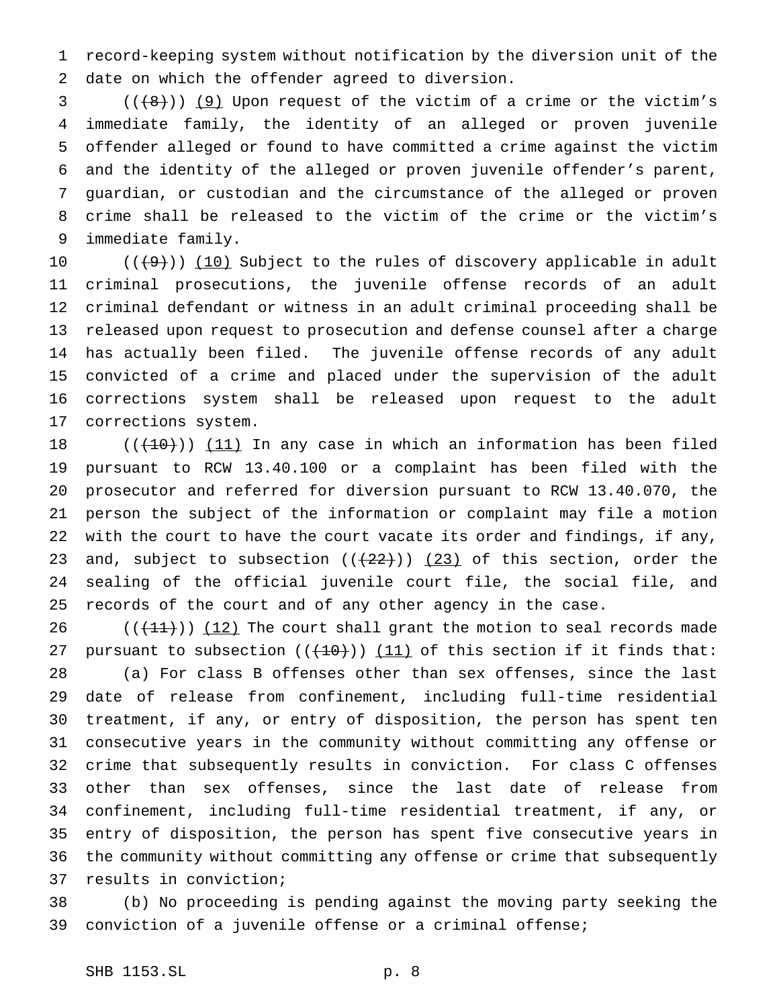record-keeping system without notification by the diversion unit of the date on which the offender agreed to diversion.

 $(1 + 8)$  (( $+ 9$ )) (9) Upon request of the victim of a crime or the victim's immediate family, the identity of an alleged or proven juvenile offender alleged or found to have committed a crime against the victim and the identity of the alleged or proven juvenile offender's parent, guardian, or custodian and the circumstance of the alleged or proven crime shall be released to the victim of the crime or the victim's immediate family.

 $((+9))$  (10) Subject to the rules of discovery applicable in adult criminal prosecutions, the juvenile offense records of an adult criminal defendant or witness in an adult criminal proceeding shall be released upon request to prosecution and defense counsel after a charge has actually been filed. The juvenile offense records of any adult convicted of a crime and placed under the supervision of the adult corrections system shall be released upon request to the adult corrections system.

 $((+10))$  (11) In any case in which an information has been filed pursuant to RCW 13.40.100 or a complaint has been filed with the prosecutor and referred for diversion pursuant to RCW 13.40.070, the person the subject of the information or complaint may file a motion with the court to have the court vacate its order and findings, if any, 23 and, subject to subsection  $((+22))$   $(23)$  of this section, order the sealing of the official juvenile court file, the social file, and records of the court and of any other agency in the case.

 $((+11))$   $(12)$  The court shall grant the motion to seal records made 27 pursuant to subsection  $((+10))$  (11) of this section if it finds that: (a) For class B offenses other than sex offenses, since the last date of release from confinement, including full-time residential treatment, if any, or entry of disposition, the person has spent ten consecutive years in the community without committing any offense or crime that subsequently results in conviction. For class C offenses other than sex offenses, since the last date of release from confinement, including full-time residential treatment, if any, or entry of disposition, the person has spent five consecutive years in the community without committing any offense or crime that subsequently results in conviction;

 (b) No proceeding is pending against the moving party seeking the conviction of a juvenile offense or a criminal offense;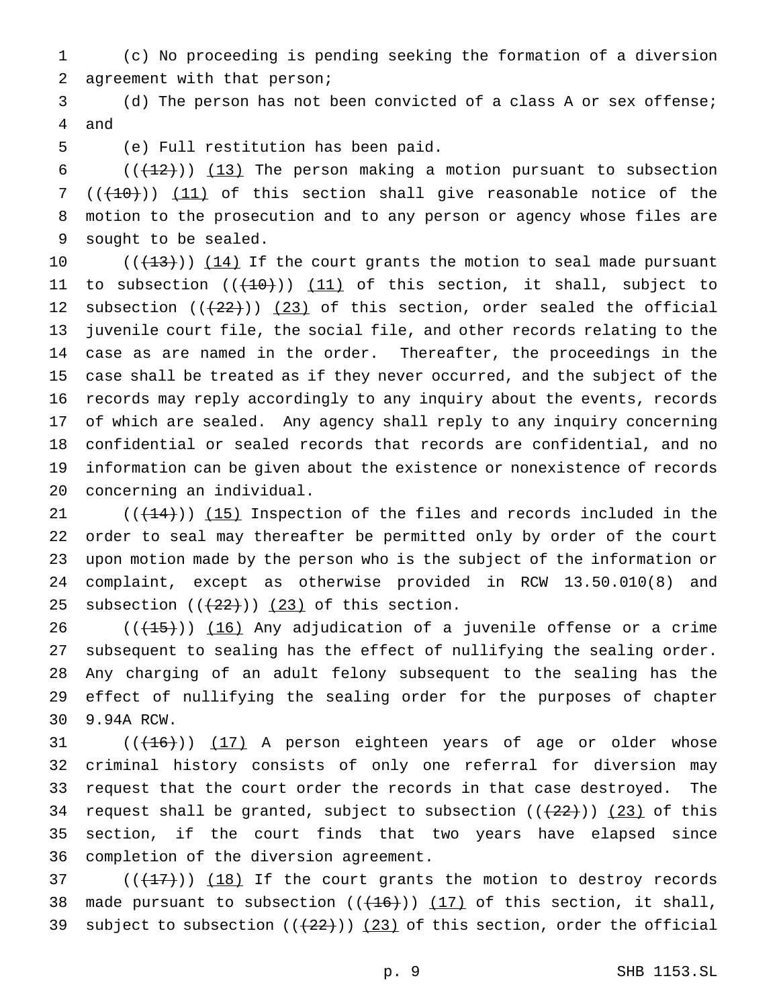(c) No proceeding is pending seeking the formation of a diversion agreement with that person;

 (d) The person has not been convicted of a class A or sex offense; and

(e) Full restitution has been paid.

 $((+12))$  (13) The person making a motion pursuant to subsection  $((+10))$   $(11)$  of this section shall give reasonable notice of the motion to the prosecution and to any person or agency whose files are sought to be sealed.

 $((+13))$   $(14)$  If the court grants the motion to seal made pursuant 11 to subsection  $((+10))$   $(11)$  of this section, it shall, subject to 12 subsection  $((+22))$   $(23)$  of this section, order sealed the official juvenile court file, the social file, and other records relating to the case as are named in the order. Thereafter, the proceedings in the case shall be treated as if they never occurred, and the subject of the records may reply accordingly to any inquiry about the events, records of which are sealed. Any agency shall reply to any inquiry concerning confidential or sealed records that records are confidential, and no information can be given about the existence or nonexistence of records concerning an individual.

 $((+14))$   $(15)$  Inspection of the files and records included in the order to seal may thereafter be permitted only by order of the court upon motion made by the person who is the subject of the information or complaint, except as otherwise provided in RCW 13.50.010(8) and 25 subsection  $((22))$   $(23)$  of this section.

26 ( $(\overline{+15})$ ) (16) Any adjudication of a juvenile offense or a crime subsequent to sealing has the effect of nullifying the sealing order. Any charging of an adult felony subsequent to the sealing has the effect of nullifying the sealing order for the purposes of chapter 9.94A RCW.

 $((+16))$   $(17)$  A person eighteen years of age or older whose criminal history consists of only one referral for diversion may request that the court order the records in that case destroyed. The 34 request shall be granted, subject to subsection  $((+22))$  (23) of this section, if the court finds that two years have elapsed since completion of the diversion agreement.

 (( $(17)$ )) (18) If the court grants the motion to destroy records 38 made pursuant to subsection  $((+16))$   $(17)$  of this section, it shall, 39 subject to subsection  $((+22))$   $(23)$  of this section, order the official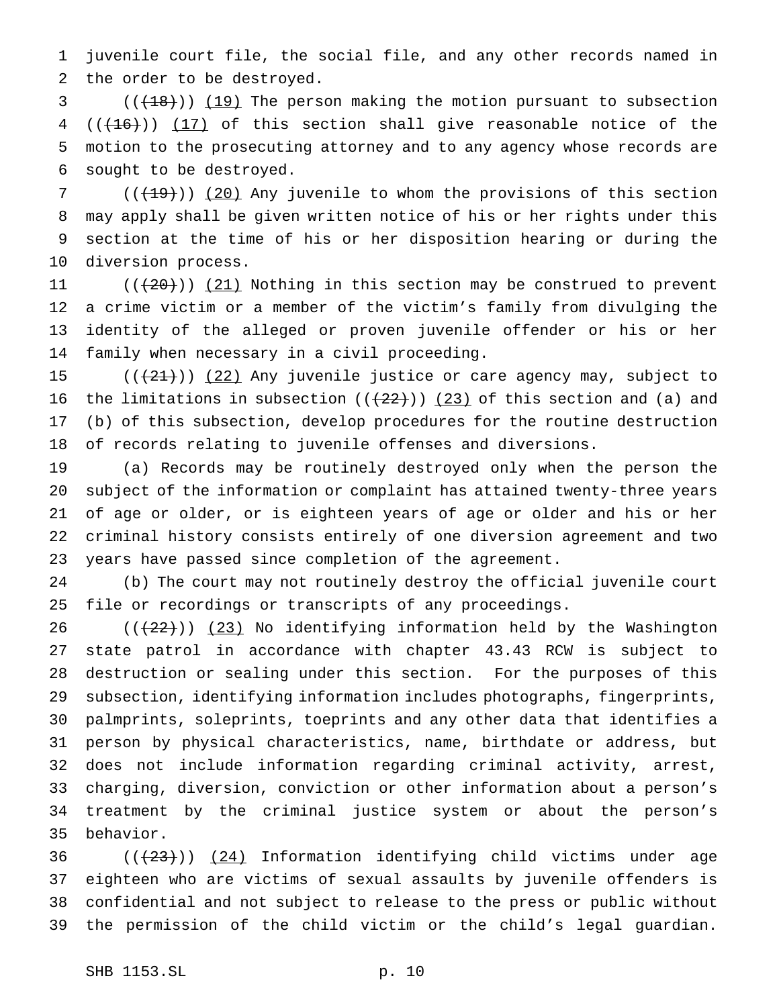juvenile court file, the social file, and any other records named in the order to be destroyed.

3 (( $(18)$ )) (19) The person making the motion pursuant to subsection  $((+16))$   $(17)$  of this section shall give reasonable notice of the motion to the prosecuting attorney and to any agency whose records are sought to be destroyed.

7 (( $(19)$ )) (20) Any juvenile to whom the provisions of this section may apply shall be given written notice of his or her rights under this section at the time of his or her disposition hearing or during the diversion process.

 $((+20))$   $(21)$  Nothing in this section may be construed to prevent a crime victim or a member of the victim's family from divulging the identity of the alleged or proven juvenile offender or his or her family when necessary in a civil proceeding.

 $((+21))$   $(22)$  Any juvenile justice or care agency may, subject to 16 the limitations in subsection  $((22))$  (23) of this section and (a) and (b) of this subsection, develop procedures for the routine destruction of records relating to juvenile offenses and diversions.

 (a) Records may be routinely destroyed only when the person the subject of the information or complaint has attained twenty-three years of age or older, or is eighteen years of age or older and his or her criminal history consists entirely of one diversion agreement and two years have passed since completion of the agreement.

 (b) The court may not routinely destroy the official juvenile court file or recordings or transcripts of any proceedings.

 (( $(22)$ )) (23) No identifying information held by the Washington state patrol in accordance with chapter 43.43 RCW is subject to destruction or sealing under this section. For the purposes of this subsection, identifying information includes photographs, fingerprints, palmprints, soleprints, toeprints and any other data that identifies a person by physical characteristics, name, birthdate or address, but does not include information regarding criminal activity, arrest, charging, diversion, conviction or other information about a person's treatment by the criminal justice system or about the person's behavior.

 $((+23))$   $(24)$  Information identifying child victims under age eighteen who are victims of sexual assaults by juvenile offenders is confidential and not subject to release to the press or public without the permission of the child victim or the child's legal guardian.